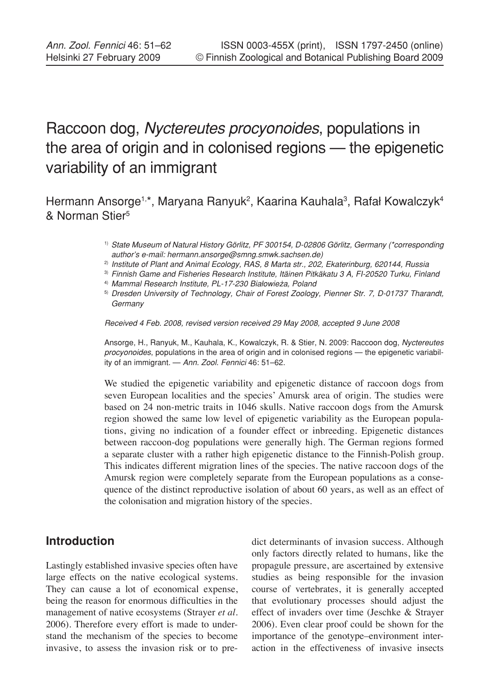# Raccoon dog, *Nyctereutes procyonoides*, populations in the area of origin and in colonised regions — the epigenetic variability of an immigrant

Hermann Ansorge<sup>1,\*</sup>, Maryana Ranyuk<sup>2</sup>, Kaarina Kauhala<sup>3</sup>, Rafał Kowalczyk<sup>4</sup> & Norman Stier5

- 1) *State Museum of Natural History Görlitz, PF 300154, D-02806 Görlitz, Germany (\*corresponding author's e-mail: hermann.ansorge@smng.smwk.sachsen.de)*
- 2) *Institute of Plant and Animal Ecology, RAS, 8 Marta str., 202, Ekaterinburg, 620144, Russia*
- 3) *Finnish Game and Fisheries Research Institute, Itäinen Pitkäkatu 3 A, FI-20520 Turku, Finland*

4) *Mammal Research Institute, PL-17-230 Białowie*ż*a, Poland*

5) *Dresden University of Technology, Chair of Forest Zoology, Pienner Str. 7, D-01737 Tharandt, Germany*

*Received 4 Feb. 2008, revised version received 29 May 2008, accepted 9 June 2008*

Ansorge, H., Ranyuk, M., Kauhala, K., Kowalczyk, R. & Stier, N. 2009: Raccoon dog, *Nyctereutes procyonoides*, populations in the area of origin and in colonised regions — the epigenetic variability of an immigrant. — *Ann. Zool. Fennici* 46: 51–62.

We studied the epigenetic variability and epigenetic distance of raccoon dogs from seven European localities and the species' Amursk area of origin. The studies were based on 24 non-metric traits in 1046 skulls. Native raccoon dogs from the Amursk region showed the same low level of epigenetic variability as the European populations, giving no indication of a founder effect or inbreeding. Epigenetic distances between raccoon-dog populations were generally high. The German regions formed a separate cluster with a rather high epigenetic distance to the Finnish-Polish group. This indicates different migration lines of the species. The native raccoon dogs of the Amursk region were completely separate from the European populations as a consequence of the distinct reproductive isolation of about 60 years, as well as an effect of the colonisation and migration history of the species.

# **Introduction**

Lastingly established invasive species often have large effects on the native ecological systems. They can cause a lot of economical expense, being the reason for enormous difficulties in the management of native ecosystems (Strayer *et al*. 2006). Therefore every effort is made to understand the mechanism of the species to become invasive, to assess the invasion risk or to predict determinants of invasion success. Although only factors directly related to humans, like the propagule pressure, are ascertained by extensive studies as being responsible for the invasion course of vertebrates, it is generally accepted that evolutionary processes should adjust the effect of invaders over time (Jeschke & Strayer 2006). Even clear proof could be shown for the importance of the genotype–environment interaction in the effectiveness of invasive insects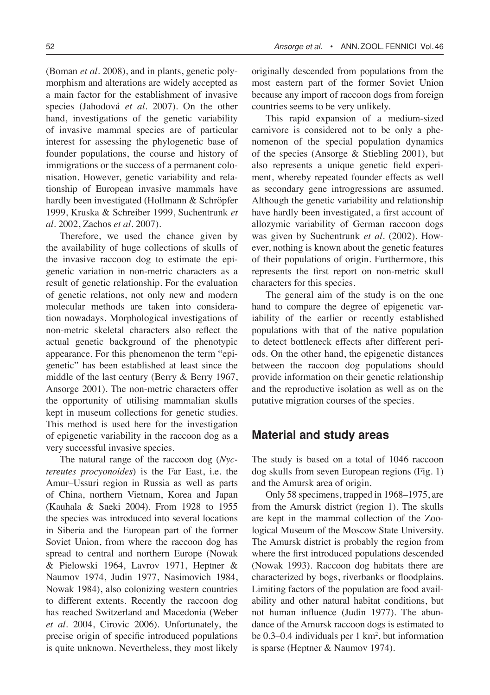(Boman *et al*. 2008), and in plants, genetic polymorphism and alterations are widely accepted as a main factor for the establishment of invasive species (Jahodová *et al*. 2007). On the other hand, investigations of the genetic variability of invasive mammal species are of particular interest for assessing the phylogenetic base of founder populations, the course and history of immigrations or the success of a permanent colonisation. However, genetic variability and relationship of European invasive mammals have hardly been investigated (Hollmann & Schröpfer 1999, Kruska & Schreiber 1999, Suchentrunk *et al*. 2002, Zachos *et al*. 2007).

Therefore, we used the chance given by the availability of huge collections of skulls of the invasive raccoon dog to estimate the epigenetic variation in non-metric characters as a result of genetic relationship. For the evaluation of genetic relations, not only new and modern molecular methods are taken into consideration nowadays. Morphological investigations of non-metric skeletal characters also reflect the actual genetic background of the phenotypic appearance. For this phenomenon the term "epigenetic" has been established at least since the middle of the last century (Berry & Berry 1967, Ansorge 2001). The non-metric characters offer the opportunity of utilising mammalian skulls kept in museum collections for genetic studies. This method is used here for the investigation of epigenetic variability in the raccoon dog as a very successful invasive species.

The natural range of the raccoon dog (*Nyctereutes procyonoides*) is the Far East, i.e. the Amur–Ussuri region in Russia as well as parts of China, northern Vietnam, Korea and Japan (Kauhala & Saeki 2004). From 1928 to 1955 the species was introduced into several locations in Siberia and the European part of the former Soviet Union, from where the raccoon dog has spread to central and northern Europe (Nowak & Pielowski 1964, Lavrov 1971, Heptner & Naumov 1974, Judin 1977, Nasimovich 1984, Nowak 1984), also colonizing western countries to different extents. Recently the raccoon dog has reached Switzerland and Macedonia (Weber *et al*. 2004, Cirovic 2006). Unfortunately, the precise origin of specific introduced populations is quite unknown. Nevertheless, they most likely

originally descended from populations from the most eastern part of the former Soviet Union because any import of raccoon dogs from foreign countries seems to be very unlikely.

This rapid expansion of a medium-sized carnivore is considered not to be only a phenomenon of the special population dynamics of the species (Ansorge & Stiebling 2001), but also represents a unique genetic field experiment, whereby repeated founder effects as well as secondary gene introgressions are assumed. Although the genetic variability and relationship have hardly been investigated, a first account of allozymic variability of German raccoon dogs was given by Suchentrunk *et al*. (2002). However, nothing is known about the genetic features of their populations of origin. Furthermore, this represents the first report on non-metric skull characters for this species.

The general aim of the study is on the one hand to compare the degree of epigenetic variability of the earlier or recently established populations with that of the native population to detect bottleneck effects after different periods. On the other hand, the epigenetic distances between the raccoon dog populations should provide information on their genetic relationship and the reproductive isolation as well as on the putative migration courses of the species.

# **Material and study areas**

The study is based on a total of 1046 raccoon dog skulls from seven European regions (Fig. 1) and the Amursk area of origin.

Only 58 specimens, trapped in 1968–1975, are from the Amursk district (region 1). The skulls are kept in the mammal collection of the Zoological Museum of the Moscow State University. The Amursk district is probably the region from where the first introduced populations descended (Nowak 1993). Raccoon dog habitats there are characterized by bogs, riverbanks or floodplains. Limiting factors of the population are food availability and other natural habitat conditions, but not human influence (Judin 1977). The abundance of the Amursk raccoon dogs is estimated to be  $0.3-0.4$  individuals per  $1 \text{ km}^2$ , but information is sparse (Heptner & Naumov 1974).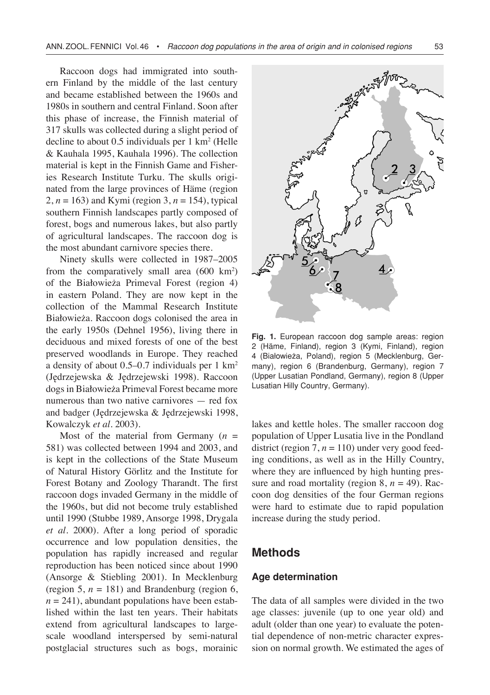Raccoon dogs had immigrated into southern Finland by the middle of the last century and became established between the 1960s and 1980s in southern and central Finland. Soon after this phase of increase, the Finnish material of 317 skulls was collected during a slight period of decline to about  $0.5$  individuals per  $1 \text{ km}^2$  (Helle & Kauhala 1995, Kauhala 1996). The collection material is kept in the Finnish Game and Fisheries Research Institute Turku. The skulls originated from the large provinces of Häme (region 2,  $n = 163$ ) and Kymi (region 3,  $n = 154$ ), typical southern Finnish landscapes partly composed of forest, bogs and numerous lakes, but also partly of agricultural landscapes. The raccoon dog is the most abundant carnivore species there.

Ninety skulls were collected in 1987–2005 from the comparatively small area (600 km2 ) of the Białowieża Primeval Forest (region 4) in eastern Poland. They are now kept in the collection of the Mammal Research Institute Białowieża. Raccoon dogs colonised the area in the early 1950s (Dehnel 1956), living there in deciduous and mixed forests of one of the best preserved woodlands in Europe. They reached a density of about 0.5–0.7 individuals per 1 km2 (Jędrzejewska & Jędrzejewski 1998). Raccoon dogs in Białowieża Primeval Forest became more numerous than two native carnivores — red fox and badger (Jędrzejewska & Jędrzejewski 1998, Kowalczyk *et al*. 2003).

Most of the material from Germany  $(n =$ 581) was collected between 1994 and 2003, and is kept in the collections of the State Museum of Natural History Görlitz and the Institute for Forest Botany and Zoology Tharandt. The first raccoon dogs invaded Germany in the middle of the 1960s, but did not become truly established until 1990 (Stubbe 1989, Ansorge 1998, Drygala *et al*. 2000). After a long period of sporadic occurrence and low population densities, the population has rapidly increased and regular reproduction has been noticed since about 1990 (Ansorge & Stiebling 2001). In Mecklenburg (region 5,  $n = 181$ ) and Brandenburg (region 6,  $n = 241$ ), abundant populations have been established within the last ten years. Their habitats extend from agricultural landscapes to largescale woodland interspersed by semi-natural postglacial structures such as bogs, morainic



**Fig. 1.** European raccoon dog sample areas: region 2 (Häme, Finland), region 3 (Kymi, Finland), region 4 (Białowieża, Poland), region 5 (Mecklenburg, Germany), region 6 (Brandenburg, Germany), region 7 (Upper Lusatian Pondland, Germany), region 8 (Upper Lusatian Hilly Country, Germany).

lakes and kettle holes. The smaller raccoon dog population of Upper Lusatia live in the Pondland district (region  $7, n = 110$ ) under very good feeding conditions, as well as in the Hilly Country, where they are influenced by high hunting pressure and road mortality (region  $8$ ,  $n = 49$ ). Raccoon dog densities of the four German regions were hard to estimate due to rapid population increase during the study period.

## **Methods**

#### **Age determination**

The data of all samples were divided in the two age classes: juvenile (up to one year old) and adult (older than one year) to evaluate the potential dependence of non-metric character expression on normal growth. We estimated the ages of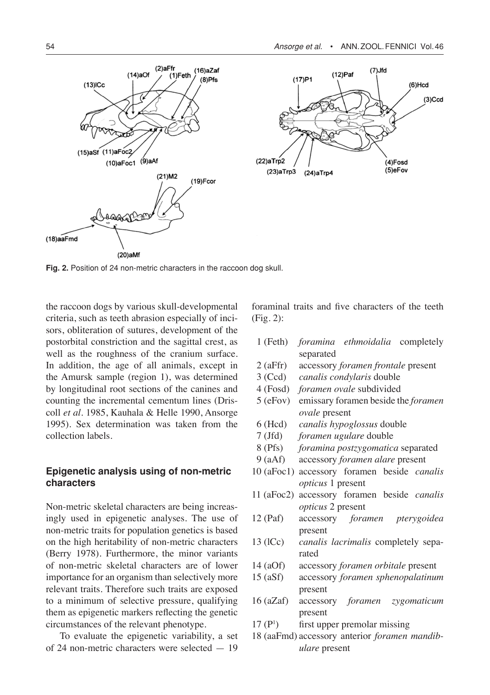



**Fig. 2.** Position of 24 non-metric characters in the raccoon dog skull.

the raccoon dogs by various skull-developmental criteria, such as teeth abrasion especially of incisors, obliteration of sutures, development of the postorbital constriction and the sagittal crest, as well as the roughness of the cranium surface. In addition, the age of all animals, except in the Amursk sample (region 1), was determined by longitudinal root sections of the canines and counting the incremental cementum lines (Driscoll *et al*. 1985, Kauhala & Helle 1990, Ansorge 1995). Sex determination was taken from the collection labels.

#### **Epigenetic analysis using of non-metric characters**

Non-metric skeletal characters are being increasingly used in epigenetic analyses. The use of non-metric traits for population genetics is based on the high heritability of non-metric characters (Berry 1978). Furthermore, the minor variants of non-metric skeletal characters are of lower importance for an organism than selectively more relevant traits. Therefore such traits are exposed to a minimum of selective pressure, qualifying them as epigenetic markers reflecting the genetic circumstances of the relevant phenotype.

To evaluate the epigenetic variability, a set of 24 non-metric characters were selected — 19

foraminal traits and five characters of the teeth (Fig. 2):

|            |           | 1 (Feth) <i>foramina ethmoidalia</i> completely |  |
|------------|-----------|-------------------------------------------------|--|
|            | separated |                                                 |  |
| $2$ (aFfr) |           | accessory foramen frontale present              |  |
|            |           | 3 (Ccd) canalis condylaris double               |  |

- 4 (Fosd) *foramen ovale* subdivided
- 5 (eFov) emissary foramen beside the *foramen ovale* present
- 6 (Hcd) *canalis hypoglossus* double
- 7 (Jfd) *foramen ugulare* double
- 8 (Pfs) *foramina postzygomatica* separated
- 9 (aAf) accessory *foramen alare* present
- 10 (aFoc1) accessory foramen beside *canalis opticus* 1 present
- 11 (aFoc2) accessory foramen beside *canalis opticus* 2 present
- 12 (Paf) accessory *foramen pterygoidea* present
- 13 (lCc) *canalis lacrimalis* completely separated
- 14 (aOf) accessory *foramen orbitale* present
- 15 (aSf) accessory *foramen sphenopalatinum*  present
- 16 (aZaf) accessory *foramen zygomaticum* present
- $17 (P<sup>1</sup>)$ ) first upper premolar missing
- 18 (aaFmd) accessory anterior *foramen mandibulare* present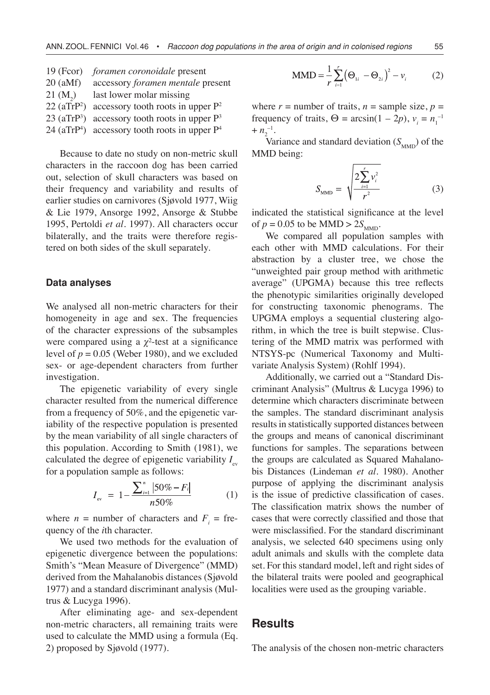| $19$ (Fcor)               | <i>foramen coronoidale</i> present   |
|---------------------------|--------------------------------------|
| $20$ (aMf)                | accessory foramen mentale present    |
| $21 \, (M_2)$             | last lower molar missing             |
| $22$ (aTrP <sup>2</sup> ) | accessory tooth roots in upper $P^2$ |
| $23$ (aTrP <sup>3</sup> ) | accessory tooth roots in upper $P^3$ |
| $24 \text{ (aTrP}^4)$     | accessory tooth roots in upper $P4$  |

Because to date no study on non-metric skull characters in the raccoon dog has been carried out, selection of skull characters was based on their frequency and variability and results of earlier studies on carnivores (Sjøvold 1977, Wiig & Lie 1979, Ansorge 1992, Ansorge & Stubbe 1995, Pertoldi *et al*. 1997). All characters occur bilaterally, and the traits were therefore registered on both sides of the skull separately.

#### **Data analyses**

We analysed all non-metric characters for their homogeneity in age and sex. The frequencies of the character expressions of the subsamples were compared using a  $\chi^2$ -test at a significance level of  $p = 0.05$  (Weber 1980), and we excluded sex- or age-dependent characters from further investigation.

The epigenetic variability of every single character resulted from the numerical difference from a frequency of 50%, and the epigenetic variability of the respective population is presented by the mean variability of all single characters of this population. According to Smith (1981), we calculated the degree of epigenetic variability  $I_{\infty}$ for a population sample as follows:

$$
I_{\rm ev} = 1 - \frac{\sum_{i=1}^{n} |50\% - F_i|}{n50\%} \tag{1}
$$

where  $n =$  number of characters and  $F_i =$  frequency of the *i*th character.

We used two methods for the evaluation of epigenetic divergence between the populations: Smith's "Mean Measure of Divergence" (MMD) derived from the Mahalanobis distances (Sjøvold 1977) and a standard discriminant analysis (Multrus & Lucyga 1996).

After eliminating age- and sex-dependent non-metric characters, all remaining traits were used to calculate the MMD using a formula (Eq. 2) proposed by Sjøvold (1977).

$$
MMD = \frac{1}{r} \sum_{i=1}^{r} (\Theta_{1i} - \Theta_{2i})^2 - v_i
$$
 (2)

where  $r =$  number of traits,  $n =$  sample size,  $p =$ frequency of traits,  $\Theta = \arcsin(1 - 2p)$ ,  $v_i = n_1^{-1}$  $+ n_2^{-1}$ .

Variance and standard deviation  $(S_{MMD})$  of the MMD being:

$$
S_{\text{MMD}} = \sqrt{\frac{2\sum_{i=1}^{r} v_i^2}{r^2}}
$$
 (3)

indicated the statistical significance at the level of  $p = 0.05$  to be MMD  $> 2S_{MMD}$ .

We compared all population samples with each other with MMD calculations. For their abstraction by a cluster tree, we chose the "unweighted pair group method with arithmetic average" (UPGMA) because this tree reflects the phenotypic similarities originally developed for constructing taxonomic phenograms. The UPGMA employs a sequential clustering algorithm, in which the tree is built stepwise. Clustering of the MMD matrix was performed with NTSYS-pc (Numerical Taxonomy and Multivariate Analysis System) (Rohlf 1994).

Additionally, we carried out a "Standard Discriminant Analysis" (Multrus & Lucyga 1996) to determine which characters discriminate between the samples. The standard discriminant analysis results in statistically supported distances between the groups and means of canonical discriminant functions for samples. The separations between the groups are calculated as Squared Mahalanobis Distances (Lindeman *et al*. 1980). Another purpose of applying the discriminant analysis is the issue of predictive classification of cases. The classification matrix shows the number of cases that were correctly classified and those that were misclassified. For the standard discriminant analysis, we selected 640 specimens using only adult animals and skulls with the complete data set. For this standard model, left and right sides of the bilateral traits were pooled and geographical localities were used as the grouping variable.

## **Results**

The analysis of the chosen non-metric characters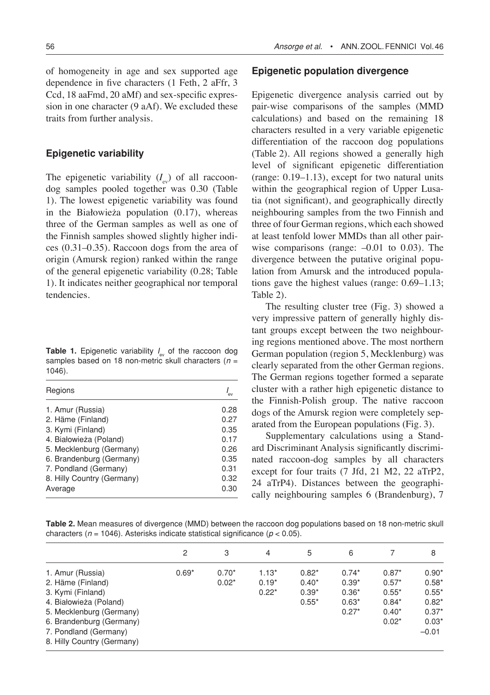of homogeneity in age and sex supported age dependence in five characters (1 Feth, 2 aFfr, 3 Ccd, 18 aaFmd, 20 aMf) and sex-specific expression in one character (9 aAf). We excluded these traits from further analysis.

#### **Epigenetic variability**

The epigenetic variability  $(I_{ev})$  of all raccoondog samples pooled together was 0.30 (Table 1). The lowest epigenetic variability was found in the Białowieża population (0.17), whereas three of the German samples as well as one of the Finnish samples showed slightly higher indices (0.31–0.35). Raccoon dogs from the area of origin (Amursk region) ranked within the range of the general epigenetic variability (0.28; Table 1). It indicates neither geographical nor temporal tendencies.

**Table 1.** Epigenetic variability  $I_{\text{ev}}$  of the raccoon dog samples based on 18 non-metric skull characters (*n* = 1046).

| Regions                    |      |
|----------------------------|------|
| 1. Amur (Russia)           | 0.28 |
| 2. Häme (Finland)          | 0.27 |
| 3. Kymi (Finland)          | 0.35 |
| 4. Białowieża (Poland)     | 0.17 |
| 5. Mecklenburg (Germany)   | 0.26 |
| 6. Brandenburg (Germany)   | 0.35 |
| 7. Pondland (Germany)      | 0.31 |
| 8. Hilly Country (Germany) | 0.32 |
| Average                    | 0.30 |

#### **Epigenetic population divergence**

Epigenetic divergence analysis carried out by pair-wise comparisons of the samples (MMD calculations) and based on the remaining 18 characters resulted in a very variable epigenetic differentiation of the raccoon dog populations (Table 2). All regions showed a generally high level of significant epigenetic differentiation (range: 0.19–1.13), except for two natural units within the geographical region of Upper Lusatia (not significant), and geographically directly neighbouring samples from the two Finnish and three of four German regions, which each showed at least tenfold lower MMDs than all other pairwise comparisons (range:  $-0.01$  to 0.03). The divergence between the putative original population from Amursk and the introduced populations gave the highest values (range: 0.69–1.13; Table 2).

The resulting cluster tree (Fig. 3) showed a very impressive pattern of generally highly distant groups except between the two neighbouring regions mentioned above. The most northern German population (region 5, Mecklenburg) was clearly separated from the other German regions. The German regions together formed a separate cluster with a rather high epigenetic distance to the Finnish-Polish group. The native raccoon dogs of the Amursk region were completely separated from the European populations (Fig. 3).

Supplementary calculations using a Standard Discriminant Analysis significantly discriminated raccoon-dog samples by all characters except for four traits (7 Jfd, 21 M2, 22 aTrP2, 24 aTrP4). Distances between the geographically neighbouring samples 6 (Brandenburg), 7

**Table 2.** Mean measures of divergence (MMD) between the raccoon dog populations based on 18 non-metric skull characters (*n* = 1046). Asterisks indicate statistical significance (*p* < 0.05).

|                            | $\overline{c}$ | 3       | $\overline{4}$ | 5       | 6       |         | 8       |
|----------------------------|----------------|---------|----------------|---------|---------|---------|---------|
|                            |                |         |                |         |         |         |         |
| 1. Amur (Russia)           | $0.69*$        | $0.70*$ | $1.13*$        | $0.82*$ | $0.74*$ | $0.87*$ | $0.90*$ |
| 2. Häme (Finland)          |                | $0.02*$ | $0.19*$        | $0.40*$ | $0.39*$ | $0.57*$ | $0.58*$ |
| 3. Kymi (Finland)          |                |         | $0.22*$        | $0.39*$ | $0.36*$ | $0.55*$ | $0.55*$ |
| 4. Białowieża (Poland)     |                |         |                | $0.55*$ | $0.63*$ | $0.84*$ | $0.82*$ |
| 5. Mecklenburg (Germany)   |                |         |                |         | $0.27*$ | $0.40*$ | $0.37*$ |
| 6. Brandenburg (Germany)   |                |         |                |         |         | $0.02*$ | $0.03*$ |
| 7. Pondland (Germany)      |                |         |                |         |         |         | $-0.01$ |
| 8. Hilly Country (Germany) |                |         |                |         |         |         |         |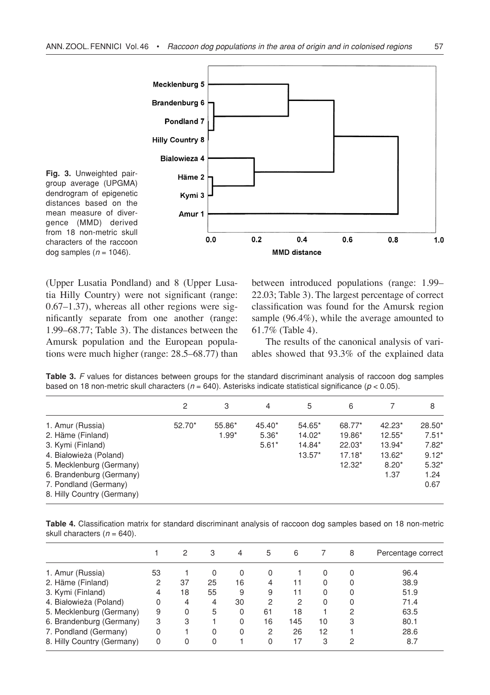

**Fig. 3.** Unweighted pairgroup average (UPGMA) dendrogram of epigenetic distances based on the mean measure of divergence (MMD) derived from 18 non-metric skull characters of the raccoon dog samples  $(n = 1046)$ .

(Upper Lusatia Pondland) and 8 (Upper Lusatia Hilly Country) were not significant (range: 0.67–1.37), whereas all other regions were significantly separate from one another (range: 1.99–68.77; Table 3). The distances between the Amursk population and the European populations were much higher (range: 28.5–68.77) than between introduced populations (range: 1.99– 22.03; Table 3). The largest percentage of correct classification was found for the Amursk region sample (96.4%), while the average amounted to 61.7% (Table 4).

The results of the canonical analysis of variables showed that 93.3% of the explained data

**Table 3.** *F* values for distances between groups for the standard discriminant analysis of raccoon dog samples based on 18 non-metric skull characters (*n* = 640). Asterisks indicate statistical significance (*p* < 0.05).

|                            | 2      | 3       | 4       | 5        | 6        |          | 8        |
|----------------------------|--------|---------|---------|----------|----------|----------|----------|
| 1. Amur (Russia)           | 52.70* | 55.86*  | 45.40*  | 54.65*   | 68.77*   | 42.23*   | $28.50*$ |
| 2. Häme (Finland)          |        | $1.99*$ | $5.36*$ | 14.02*   | 19.86*   | $12.55*$ | $7.51*$  |
| 3. Kymi (Finland)          |        |         | $5.61*$ | 14.84*   | $22.03*$ | 13.94*   | $7.82*$  |
| 4. Białowieża (Poland)     |        |         |         | $13.57*$ | $17.18*$ | 13.62*   | $9.12*$  |
| 5. Mecklenburg (Germany)   |        |         |         |          | $12.32*$ | $8.20*$  | $5.32*$  |
| 6. Brandenburg (Germany)   |        |         |         |          |          | 1.37     | 1.24     |
| 7. Pondland (Germany)      |        |         |         |          |          |          | 0.67     |
| 8. Hilly Country (Germany) |        |         |         |          |          |          |          |

**Table 4.** Classification matrix for standard discriminant analysis of raccoon dog samples based on 18 non-metric skull characters  $(n = 640)$ .

|                                                                                                                                                                                                     | 2  | З  | 4            | 5  | 6   |    | 8 | Percentage correct |
|-----------------------------------------------------------------------------------------------------------------------------------------------------------------------------------------------------|----|----|--------------|----|-----|----|---|--------------------|
| 53                                                                                                                                                                                                  |    | 0  | 0            | 0  |     | 0  | 0 | 96.4               |
| 2                                                                                                                                                                                                   | 37 | 25 | 16           | 4  | 11  | 0  | 0 | 38.9               |
| 4                                                                                                                                                                                                   | 18 | 55 | 9            | 9  | 11  | 0  | 0 | 51.9               |
| 0                                                                                                                                                                                                   | 4  | 4  | 30           | 2  | 2   | 0  | 0 | 71.4               |
| 9                                                                                                                                                                                                   | 0  | 5  | 0            | 61 | 18  |    | 2 | 63.5               |
| 3                                                                                                                                                                                                   | 3  |    | <sup>0</sup> | 16 | 145 | 10 | 3 | 80.1               |
| 0                                                                                                                                                                                                   |    | 0  | 0            | 2  | 26  | 12 |   | 28.6               |
| 0                                                                                                                                                                                                   | 0  | 0  |              | 0  | 17  | 3  | 2 | 8.7                |
| 1. Amur (Russia)<br>2. Häme (Finland)<br>3. Kymi (Finland)<br>4. Białowieża (Poland)<br>5. Mecklenburg (Germany)<br>6. Brandenburg (Germany)<br>7. Pondland (Germany)<br>8. Hilly Country (Germany) |    |    |              |    |     |    |   |                    |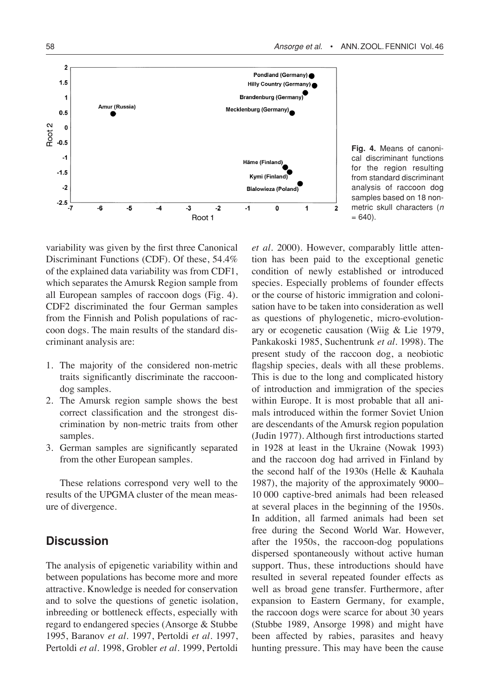

**Fig. 4.** Means of canonical discriminant functions for the region resulting from standard discriminant analysis of raccoon dog samples based on 18 nonmetric skull characters (*n*  $= 640$ ).

variability was given by the first three Canonical Discriminant Functions (CDF). Of these, 54.4% of the explained data variability was from CDF1, which separates the Amursk Region sample from all European samples of raccoon dogs (Fig. 4). CDF2 discriminated the four German samples from the Finnish and Polish populations of raccoon dogs. The main results of the standard discriminant analysis are:

- 1. The majority of the considered non-metric traits significantly discriminate the raccoondog samples.
- 2. The Amursk region sample shows the best correct classification and the strongest discrimination by non-metric traits from other samples.
- 3. German samples are significantly separated from the other European samples.

These relations correspond very well to the results of the UPGMA cluster of the mean measure of divergence.

# **Discussion**

The analysis of epigenetic variability within and between populations has become more and more attractive. Knowledge is needed for conservation and to solve the questions of genetic isolation, inbreeding or bottleneck effects, especially with regard to endangered species (Ansorge & Stubbe 1995, Baranov *et al*. 1997, Pertoldi *et al*. 1997, Pertoldi *et al*. 1998, Grobler *et al*. 1999, Pertoldi

*et al*. 2000). However, comparably little attention has been paid to the exceptional genetic condition of newly established or introduced species. Especially problems of founder effects or the course of historic immigration and colonisation have to be taken into consideration as well as questions of phylogenetic, micro-evolutionary or ecogenetic causation (Wiig & Lie 1979, Pankakoski 1985, Suchentrunk *et al*. 1998). The present study of the raccoon dog, a neobiotic flagship species, deals with all these problems. This is due to the long and complicated history of introduction and immigration of the species within Europe. It is most probable that all animals introduced within the former Soviet Union are descendants of the Amursk region population (Judin 1977). Although first introductions started in 1928 at least in the Ukraine (Nowak 1993) and the raccoon dog had arrived in Finland by the second half of the 1930s (Helle & Kauhala 1987), the majority of the approximately 9000– 10 000 captive-bred animals had been released at several places in the beginning of the 1950s. In addition, all farmed animals had been set free during the Second World War. However, after the 1950s, the raccoon-dog populations dispersed spontaneously without active human support. Thus, these introductions should have resulted in several repeated founder effects as well as broad gene transfer. Furthermore, after expansion to Eastern Germany, for example, the raccoon dogs were scarce for about 30 years (Stubbe 1989, Ansorge 1998) and might have been affected by rabies, parasites and heavy hunting pressure. This may have been the cause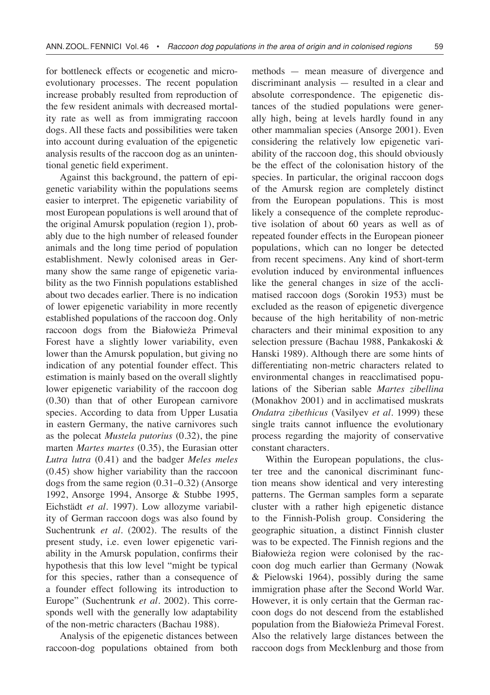for bottleneck effects or ecogenetic and microevolutionary processes. The recent population increase probably resulted from reproduction of the few resident animals with decreased mortality rate as well as from immigrating raccoon dogs. All these facts and possibilities were taken into account during evaluation of the epigenetic analysis results of the raccoon dog as an unintentional genetic field experiment.

Against this background, the pattern of epigenetic variability within the populations seems easier to interpret. The epigenetic variability of most European populations is well around that of the original Amursk population (region 1), probably due to the high number of released founder animals and the long time period of population establishment. Newly colonised areas in Germany show the same range of epigenetic variability as the two Finnish populations established about two decades earlier. There is no indication of lower epigenetic variability in more recently established populations of the raccoon dog. Only raccoon dogs from the Białowieża Primeval Forest have a slightly lower variability, even lower than the Amursk population, but giving no indication of any potential founder effect. This estimation is mainly based on the overall slightly lower epigenetic variability of the raccoon dog (0.30) than that of other European carnivore species. According to data from Upper Lusatia in eastern Germany, the native carnivores such as the polecat *Mustela putorius* (0.32), the pine marten *Martes martes* (0.35), the Eurasian otter *Lutra lutra* (0.41) and the badger *Meles meles*  (0.45) show higher variability than the raccoon dogs from the same region (0.31–0.32) (Ansorge 1992, Ansorge 1994, Ansorge & Stubbe 1995, Eichstädt *et al*. 1997). Low allozyme variability of German raccoon dogs was also found by Suchentrunk *et al*. (2002). The results of the present study, i.e. even lower epigenetic variability in the Amursk population, confirms their hypothesis that this low level "might be typical for this species, rather than a consequence of a founder effect following its introduction to Europe" (Suchentrunk *et al*. 2002). This corresponds well with the generally low adaptability of the non-metric characters (Bachau 1988).

Analysis of the epigenetic distances between raccoon-dog populations obtained from both

methods — mean measure of divergence and discriminant analysis — resulted in a clear and absolute correspondence. The epigenetic distances of the studied populations were generally high, being at levels hardly found in any other mammalian species (Ansorge 2001). Even considering the relatively low epigenetic variability of the raccoon dog, this should obviously be the effect of the colonisation history of the species. In particular, the original raccoon dogs of the Amursk region are completely distinct from the European populations. This is most likely a consequence of the complete reproductive isolation of about 60 years as well as of repeated founder effects in the European pioneer populations, which can no longer be detected from recent specimens. Any kind of short-term evolution induced by environmental influences like the general changes in size of the acclimatised raccoon dogs (Sorokin 1953) must be excluded as the reason of epigenetic divergence because of the high heritability of non-metric characters and their minimal exposition to any selection pressure (Bachau 1988, Pankakoski & Hanski 1989). Although there are some hints of differentiating non-metric characters related to environmental changes in reacclimatised populations of the Siberian sable *Martes zibellina*  (Monakhov 2001) and in acclimatised muskrats *Ondatra zibethicus* (Vasilyev *et al*. 1999) these single traits cannot influence the evolutionary process regarding the majority of conservative constant characters.

Within the European populations, the cluster tree and the canonical discriminant function means show identical and very interesting patterns. The German samples form a separate cluster with a rather high epigenetic distance to the Finnish-Polish group. Considering the geographic situation, a distinct Finnish cluster was to be expected. The Finnish regions and the Białowieża region were colonised by the raccoon dog much earlier than Germany (Nowak & Pielowski 1964), possibly during the same immigration phase after the Second World War. However, it is only certain that the German raccoon dogs do not descend from the established population from the Białowieża Primeval Forest. Also the relatively large distances between the raccoon dogs from Mecklenburg and those from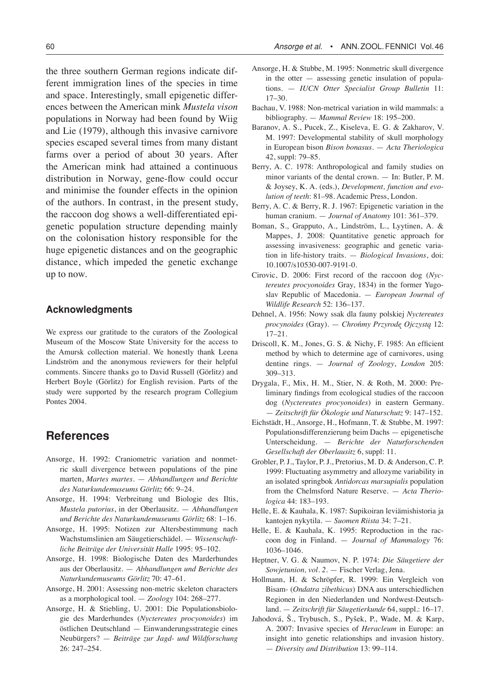the three southern German regions indicate different immigration lines of the species in time and space. Interestingly, small epigenetic differences between the American mink *Mustela vison* populations in Norway had been found by Wiig and Lie (1979), although this invasive carnivore species escaped several times from many distant farms over a period of about 30 years. After the American mink had attained a continuous distribution in Norway, gene-flow could occur and minimise the founder effects in the opinion of the authors. In contrast, in the present study, the raccoon dog shows a well-differentiated epigenetic population structure depending mainly on the colonisation history responsible for the huge epigenetic distances and on the geographic distance, which impeded the genetic exchange up to now.

#### **Acknowledgments**

We express our gratitude to the curators of the Zoological Museum of the Moscow State University for the access to the Amursk collection material. We honestly thank Leena Lindström and the anonymous reviewers for their helpful comments. Sincere thanks go to David Russell (Görlitz) and Herbert Boyle (Görlitz) for English revision. Parts of the study were supported by the research program Collegium Pontes 2004.

# **References**

- Ansorge, H. 1992: Craniometric variation and nonmetric skull divergence between populations of the pine marten, *Martes martes*. — *Abhandlungen und Berichte des Naturkundemuseums Görlitz* 66: 9–24.
- Ansorge, H. 1994: Verbreitung und Biologie des Iltis, *Mustela putorius*, in der Oberlausitz. — *Abhandlungen und Berichte des Naturkundemuseums Görlitz* 68: 1–16.
- Ansorge, H. 1995: Notizen zur Altersbestimmung nach Wachstumslinien am Säugetierschädel. — *Wissenschaftliche Beiträge der Universität Halle* 1995: 95–102.
- Ansorge, H. 1998: Biologische Daten des Marderhundes aus der Oberlausitz. — *Abhandlungen und Berichte des Naturkundemuseums Görlitz* 70: 47–61.
- Ansorge, H. 2001: Assessing non-metric skeleton characters as a morphological tool. — *Zoology* 104: 268–277.
- Ansorge, H. & Stiebling, U. 2001: Die Populationsbiologie des Marderhundes (*Nyctereutes procyonoides*) im östlichen Deutschland — Einwanderungsstrategie eines Neubürgers? — *Beiträge zur Jagd- und Wildforschung* 26: 247–254.
- Ansorge, H. & Stubbe, M. 1995: Nonmetric skull divergence in the otter — assessing genetic insulation of populations. — *IUCN Otter Specialist Group Bulletin* 11: 17–30.
- Bachau, V. 1988: Non-metrical variation in wild mammals: a bibliography. — *Mammal Review* 18: 195–200.
- Baranov, A. S., Pucek, Z., Kiseleva, E. G. & Zakharov, V. M. 1997: Developmental stability of skull morphology in European bison *Bison bonasus*. — *Acta Theriologica*  42, suppl: 79–85.
- Berry, A. C. 1978: Anthropological and family studies on minor variants of the dental crown. — In: Butler, P. M. & Joysey, K. A. (eds.), *Development, function and evolution of teeth*: 81–98. Academic Press, London.
- Berry, A. C. & Berry, R. J. 1967: Epigenetic variation in the human cranium. — *Journal of Anatomy* 101: 361–379.
- Boman, S., Grapputo, A., Lindström, L., Lyytinen, A. & Mappes, J. 2008: Quantitative genetic approach for assessing invasiveness: geographic and genetic variation in life-history traits. — *Biological Invasions*, doi: 10.1007/s10530-007-9191-0.
- Cirovic, D. 2006: First record of the raccoon dog (*Nyctereutes procyonoides* Gray, 1834) in the former Yugoslav Republic of Macedonia. — *European Journal of Wildlife Research* 52: 136–137.
- Dehnel, A. 1956: Nowy ssak dla fauny polskiej *Nyctereutes procynoides* (Gray). — *Chrońmy Przyrodę Ojczystą* 12: 17–21.
- Driscoll, K. M., Jones, G. S. & Nichy, F. 1985: An efficient method by which to determine age of carnivores, using dentine rings. — *Journal of Zoology*, *London* 205: 309–313.
- Drygala, F., Mix, H. M., Stier, N. & Roth, M. 2000: Preliminary findings from ecological studies of the raccoon dog (*Nyctereutes procyonoides*) in eastern Germany. — *Zeitschrift für Ökologie und Naturschutz* 9: 147–152.
- Eichstädt, H., Ansorge, H., Hofmann, T. & Stubbe, M. 1997: Populationsdifferenzierung beim Dachs — epigenetische Unterscheidung. — *Berichte der Naturforschenden Gesellschaft der Oberlausitz* 6, suppl: 11.
- Grobler, P. J., Taylor, P. J., Pretorius, M. D. & Anderson, C. P. 1999: Fluctuating asymmetry and allozyme variability in an isolated springbok *Antidorcas marsupialis* population from the Chelmsford Nature Reserve. — *Acta Theriologica* 44: 183–193.
- Helle, E. & Kauhala, K. 1987: Supikoiran leviämishistoria ja kantojen nykytila. — *Suomen Riista* 34: 7–21.
- Helle, E. & Kauhala, K. 1995: Reproduction in the raccoon dog in Finland. — *Journal of Mammalogy* 76: 1036–1046.
- Heptner, V. G. & Naumov, N. P. 1974: *Die Säugetiere der Sowjetunion, vol. 2*. — Fischer Verlag, Jena.
- Hollmann, H. & Schröpfer, R. 1999: Ein Vergleich von Bisam- (*Ondatra zibethicus*) DNA aus unterschiedlichen Regionen in den Niederlanden und Nordwest-Deutschland. — *Zeitschrift für Säugetierkunde* 64, suppl.: 16–17.
- Jahodová, Š., Trybusch, S., Pyšek, P., Wade, M. & Karp, A. 2007: Invasive species of *Heracleum* in Europe: an insight into genetic relationships and invasion history. — *Diversity and Distribution* 13: 99–114.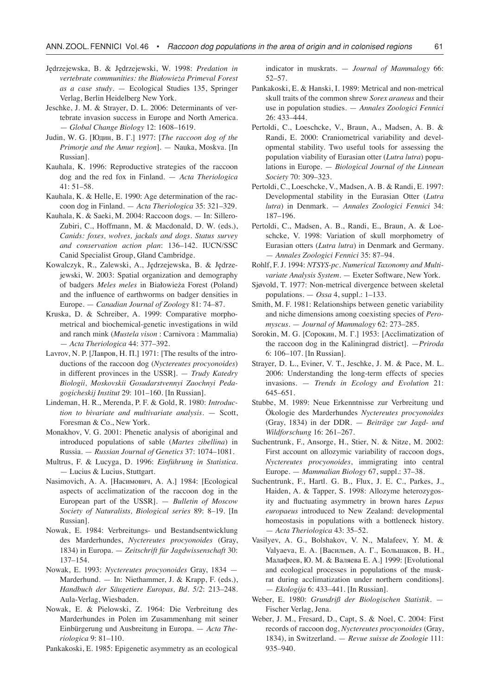- Jędrzejewska, B. & Jędrzejewski, W. 1998: *Predation in vertebrate communities: the Białowieża Primeval Forest as a case study*. — Ecological Studies 135, Springer Verlag, Berlin Heidelberg New York.
- Jeschke, J. M. & Strayer, D. L. 2006: Determinants of vertebrate invasion success in Europe and North America. — *Global Change Biology* 12: 1608–1619.
- Judin, W. G. [Юдин, В. Г.] 1977: [*The raccoon dog of the Primorje and the Amur region*]. — Nauka, Moskva. [In Russian].
- Kauhala, K. 1996: Reproductive strategies of the raccoon dog and the red fox in Finland. — *Acta Theriologica* 41: 51–58.
- Kauhala, K. & Helle, E. 1990: Age determination of the raccoon dog in Finland. — *Acta Theriologica* 35: 321–329.
- Kauhala, K. & Saeki, M. 2004: Raccoon dogs. In: Sillero-Zubiri, C., Hoffmann, M. & Macdonald, D. W. (eds.), *Canids: foxes, wolves, jackals and dogs. Status survey and conservation action plan*: 136–142. IUCN/SSC Canid Specialist Group, Gland Cambridge.
- Kowalczyk, R., Zalewski, A., Jędrzejewska, B. & Jędrzejewski, W. 2003: Spatial organization and demography of badgers *Meles meles* in Białowieża Forest (Poland) and the influence of earthworms on badger densities in Europe. — *Canadian Journal of Zoology* 81: 74–87.
- Kruska, D. & Schreiber, A. 1999: Comparative morphometrical and biochemical-genetic investigations in wild and ranch mink (*Mustela vison* : Carnivora : Mammalia) — *Acta Theriologica* 44: 377–392.
- Lavrov, N. P. [Лавров, Н. П.] 1971: [The results of the introductions of the raccoon dog (*Nyctereutes procyonoides*) in different provinces in the USSR]. — *Trudy Katedry Biologii, Moskovskii Gosudarstvennyi Zaochnyi Pedagogicheskij Institut* 29: 101–160. [In Russian].
- Lindeman, H. R., Merenda, P. F. & Gold, R. 1980: *Introduction to bivariate and multivariate analysis*. — Scott, Foresman & Co., New York.
- Monakhov, V. G. 2001: Phenetic analysis of aboriginal and introduced populations of sable (*Martes zibellina*) in Russia. — *Russian Journal of Genetics* 37: 1074–1081.
- Multrus, F. & Lucyga, D. 1996: *Einführung in Statistica*. — Lucius & Lucius, Stuttgart.
- Nasimovich, A. A. [Насимович, А. А.] 1984: [Ecological aspects of acclimatization of the raccoon dog in the European part of the USSR]. — *Bulletin of Moscow Society of Naturalists, Biological series* 89: 8–19. [In Russian].
- Nowak, E. 1984: Verbreitungs- und Bestandsentwicklung des Marderhundes, *Nyctereutes procyonoides* (Gray, 1834) in Europa. — *Zeitschrift für Jagdwissenschaft* 30: 137–154.
- Nowak, E. 1993: *Nyctereutes procyonoides* Gray, 1834 Marderhund. — In: Niethammer, J. & Krapp, F. (eds.), *Handbuch der Säugetiere Europas, Bd. 5/2*: 213–248. Aula-Verlag, Wiesbaden.
- Nowak, E. & Pielowski, Z. 1964: Die Verbreitung des Marderhundes in Polen im Zusammenhang mit seiner Einbürgerung und Ausbreitung in Europa. — *Acta Theriologica* 9: 81–110.

Pankakoski, E. 1985: Epigenetic asymmetry as an ecological

indicator in muskrats. — *Journal of Mammalogy* 66: 52–57.

- Pankakoski, E. & Hanski, I. 1989: Metrical and non-metrical skull traits of the common shrew *Sorex araneus* and their use in population studies. — *Annales Zoologici Fennici* 26: 433–444.
- Pertoldi, C., Loeschcke, V., Braun, A., Madsen, A. B. & Randi, E. 2000: Craniometrical variability and developmental stability. Two useful tools for assessing the population viability of Eurasian otter (*Lutra lutra*) populations in Europe. — *Biological Journal of the Linnean Society* 70: 309–323.
- Pertoldi, C., Loeschcke, V., Madsen, A. B. & Randi, E. 1997: Developmental stability in the Eurasian Otter (*Lutra lutra*) in Denmark. — *Annales Zoologici Fennici* 34: 187–196.
- Pertoldi, C., Madsen, A. B., Randi, E., Braun, A. & Loeschcke, V. 1998: Variation of skull morphometry of Eurasian otters (*Lutra lutra*) in Denmark and Germany. — *Annales Zoologici Fennici* 35: 87–94.
- Rohlf, F. J. 1994: *NTSYS-pc. Numerical Taxonomy and Multivariate Analysis System*. — Exeter Software, New York.
- Sjøvold, T. 1977: Non-metrical divergence between skeletal populations. — *Ossa* 4, suppl.: 1–133.
- Smith, M. F. 1981: Relationships between genetic variability and niche dimensions among coexisting species of *Peromyscus*. — *Journal of Mammalogy* 62: 273–285.
- Sorokin, M. G. [Сорокин, М. Г.] 1953: [Acclimatization of the raccoon dog in the Kaliningrad district]. —*Priroda*  6: 106–107. [In Russian].
- Strayer, D. L., Eviner, V. T., Jeschke, J. M. & Pace, M. L. 2006: Understanding the long-term effects of species invasions. — *Trends in Ecology and Evolution* 21: 645–651.
- Stubbe, M. 1989: Neue Erkenntnisse zur Verbreitung und Ökologie des Marderhundes *Nyctereutes procyonoides* (Gray, 1834) in der DDR. — *Beiträge zur Jagd- und Wildforschung* 16: 261–267.
- Suchentrunk, F., Ansorge, H., Stier, N. & Nitze, M. 2002: First account on allozymic variability of raccoon dogs, *Nyctereutes procyonoides*, immigrating into central Europe. — *Mammalian Biology* 67, suppl.: 37–38.
- Suchentrunk, F., Hartl. G. B., Flux, J. E. C., Parkes, J., Haiden, A. & Tapper, S. 1998: Allozyme heterozygosity and fluctuating asymmetry in brown hares *Lepus europaeus* introduced to New Zealand: developmental homeostasis in populations with a bottleneck history. — *Acta Theriologica* 43: 35–52.
- Vasilyev, A. G., Bolshakov, V. N., Malafeev, Y. M. & Valyaeva, E. A. [Васильев, А. Г., Большаков, В. Н., Малафеев, Ю. М. & Валяева Е. А.] 1999: [Evolutional and ecological processes in populations of the muskrat during acclimatization under northern conditions]. — *Ekologija* 6: 433–441. [In Russian].
- Weber, E. 1980: *Grundriß der Biologischen Statistik.* Fischer Verlag, Jena.
- Weber, J. M., Fresard, D., Capt, S. & Noel, C. 2004: First records of raccoon dog, *Nyctereutes procyonoides* (Gray, 1834), in Switzerland. — *Revue suisse de Zoologie* 111: 935–940.